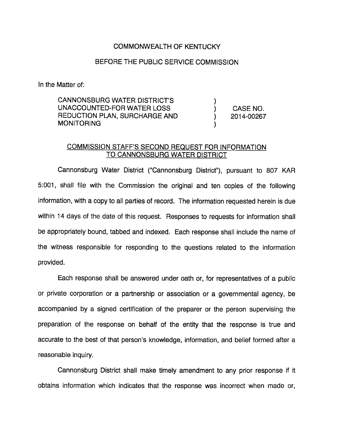## COMMONWEALTH OF KENTUCKY

## BEFORE THE PUBLIC SERVICE COMMISSION

In the Matter of:

CANNONSBURG WATER DISTRICT'S ) UNACCOUNTED-FOR WATER LOSS (CASE NO. REDUCTION PLAN, SURCHARGE AND (2014-00267) **MONITORING** 

## COMMISSION STAFF'S SECOND REQUEST FOR INFORMATION TO CANNONSBURG WATER DISTRICT

Cannonsburg Water District ("Cannonsburg District"), pursuant to 807 KAR 5:001, shall file with the Commission the original and ten copies of the following information, with a copy to all parties of record. The information requested herein is due within 14 days of the date of this request. Responses to requests for information shall be appropriately bound, tabbed and indexed. Each response shall include the name of the witness responsible for responding to the questions related to the information provided.

Each response shall be answered under oath or, for representatives of a public or private corporation or a partnership or association or a governmental agency, be accompanied by a signed certification of the preparer or the person supervising the preparation of the response on behalf of the entity that the response is true and accurate to the best of that person's knowledge, information, and belief formed after a reasonable inquiry.

Cannonsburg District shall make timely amendment to any prior response if it obtains information which indicates that the response was incorrect when made or.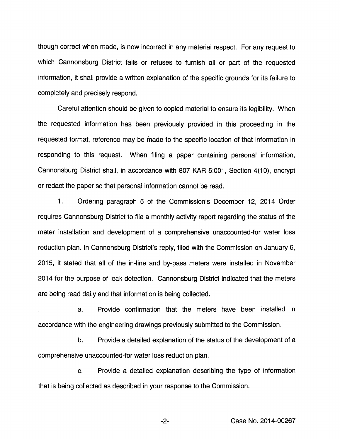though correct when made, is now incorrect in any material respect. For any request to which Cannonsburg District fails or refuses to furnish all or part of the requested information, it shall provide a written explanation of the specific grounds for its failure to completely and precisely respond.

Careful attention should be given to copied material to ensure its legibility. When the requested information has been previously provided in this proceeding in the requested format, reference may be made to the specific location of that information in responding to this request. When filing a paper containing personal information, Cannonsburg District shall, in accordance with 807 KAR 5:001, Section 4(10), encrypt or redact the paper so that personal information cannot be read.

1. Ordering paragraph 5 of the Commission's December 12, 2014 Order requires Cannonsburg District to file a monthly activity report regarding the status of the meter installation and development of a comprehensive unaccounted-for water loss reduction plan. In Cannonsburg District's reply, filed with the Commission on January 6, 2015, it stated that all of the in-line and by-pass meters were installed in November 2014 for the purpose of leak detection. Cannonsburg District indicated that the meters are being read daily and that information is being collected.

a. Provide confirmation that the meters have been installed in accordance with the engineering drawings previously submitted to the Commission.

b. Provide a detailed explanation of the status of the development of a comprehensive unaccounted-for water loss reduction plan.

c. Provide a detailed explanation describing the type of information that is being collected as described in your response to the Commission.

-2- Case No. 2014-00267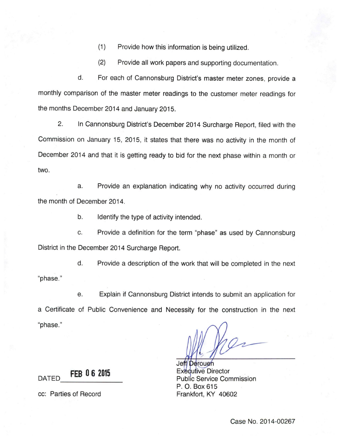(1) Provide how this information is being utilized.

(2) Provide all work papers and supporting documentation.

d. For each of Cannonsburg District's master meter zones, provide a monthly comparison of the master meter readings to the customer meter readings for the months December 2014 and January 2015.

2. In Cannonsburg District's December 2014 Surcharge Report, filed with the Commission on January 15, 2015, it states that there was no activity in the month of December 2014 and that it is getting ready to bid for the next phase within a month or two.

a. Provide an explanation indicating why no activity occurred during the month of December 2014.

b. Identify the type of activity intended.

c. Provide a definition for the term "phase" as used by Cannonsburg District in the December 2014 Surcharge Report.

d. Provide a description of the work that will be completed in the next "phase."

e. Explain if Cannonsburg District intends to submit an application for a Certificate of Public Convenience and Necessity for the construction in the next "phase."

Jeff/Derouen **FEB 06 2015** Executive Director Executive Director Public Service Commission P. 0. Box 615

cc: Parties of Record Frankfort, KY 40602